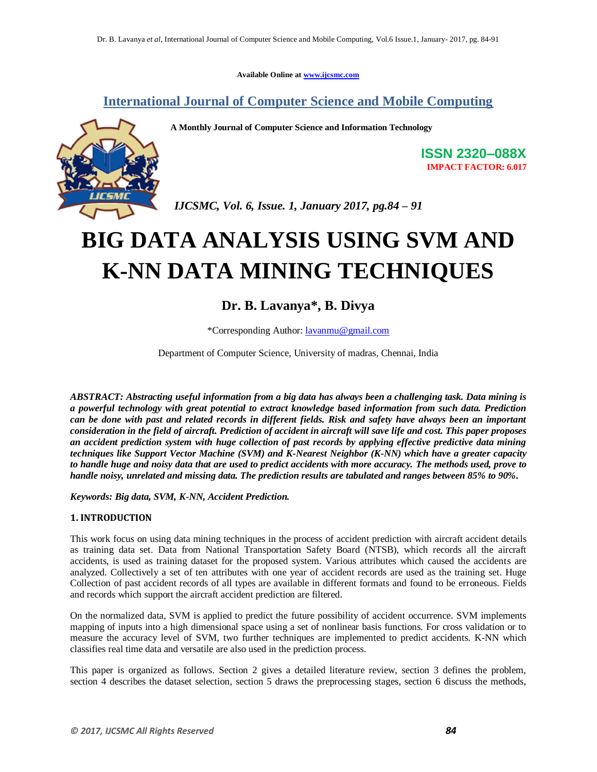**Available Online at www.ijcsmc.com**

# **International Journal of Computer Science and Mobile Computing**

**A Monthly Journal of Computer Science and Information Technology**



**ISSN 2320–088X IMPACT FACTOR: 6.017**

*IJCSMC, Vol. 6, Issue. 1, January 2017, pg.84 – 91*

# **BIG DATA ANALYSIS USING SVM AND K-NN DATA MINING TECHNIQUES**

# **Dr. B. Lavanya\*, B. Divya**

\*Corresponding Author: lavanmu@gmail.com

Department of Computer Science, University of madras, Chennai, India

*ABSTRACT: Abstracting useful information from a big data has always been a challenging task. Data mining is a powerful technology with great potential to extract knowledge based information from such data. Prediction can be done with past and related records in different fields. Risk and safety have always been an important consideration in the field of aircraft. Prediction of accident in aircraft will save life and cost. This paper proposes an accident prediction system with huge collection of past records by applying effective predictive data mining techniques like Support Vector Machine (SVM) and K-Nearest Neighbor (K-NN) which have a greater capacity to handle huge and noisy data that are used to predict accidents with more accuracy. The methods used, prove to handle noisy, unrelated and missing data. The prediction results are tabulated and ranges between 85% to 90%.*

*Keywords: Big data, SVM, K-NN, Accident Prediction.* 

# **1. INTRODUCTION**

This work focus on using data mining techniques in the process of accident prediction with aircraft accident details as training data set. Data from National Transportation Safety Board (NTSB), which records all the aircraft accidents, is used as training dataset for the proposed system. Various attributes which caused the accidents are analyzed. Collectively a set of ten attributes with one year of accident records are used as the training set. Huge Collection of past accident records of all types are available in different formats and found to be erroneous. Fields and records which support the aircraft accident prediction are filtered.

On the normalized data, SVM is applied to predict the future possibility of accident occurrence. SVM implements mapping of inputs into a high dimensional space using a set of nonlinear basis functions. For cross validation or to measure the accuracy level of SVM, two further techniques are implemented to predict accidents. K-NN which classifies real time data and versatile are also used in the prediction process.

This paper is organized as follows. Section 2 gives a detailed literature review, section 3 defines the problem, section 4 describes the dataset selection, section 5 draws the preprocessing stages, section 6 discuss the methods,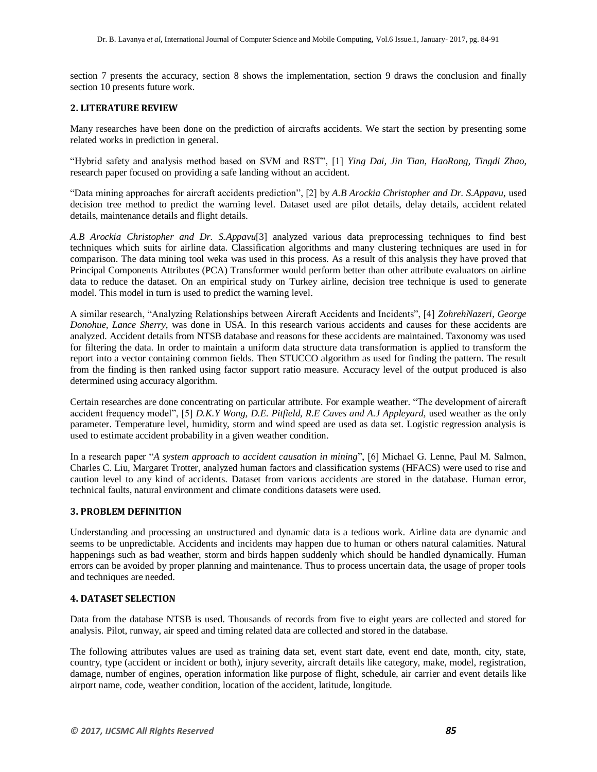section 7 presents the accuracy, section 8 shows the implementation, section 9 draws the conclusion and finally section 10 presents future work.

# **2. LITERATURE REVIEW**

Many researches have been done on the prediction of aircrafts accidents. We start the section by presenting some related works in prediction in general.

"Hybrid safety and analysis method based on SVM and RST", [1] *Ying Dai, Jin Tian, HaoRong, Tingdi Zhao*, research paper focused on providing a safe landing without an accident.

"Data mining approaches for aircraft accidents prediction", [2] by *A.B Arockia Christopher and Dr. S.Appavu*, used decision tree method to predict the warning level. Dataset used are pilot details, delay details, accident related details, maintenance details and flight details.

*A.B Arockia Christopher and Dr. S.Appavu*[3] analyzed various data preprocessing techniques to find best techniques which suits for airline data. Classification algorithms and many clustering techniques are used in for comparison. The data mining tool weka was used in this process. As a result of this analysis they have proved that Principal Components Attributes (PCA) Transformer would perform better than other attribute evaluators on airline data to reduce the dataset. On an empirical study on Turkey airline, decision tree technique is used to generate model. This model in turn is used to predict the warning level.

A similar research, "Analyzing Relationships between Aircraft Accidents and Incidents", [4] *ZohrehNazeri*, *George Donohue, Lance Sherry*, was done in USA. In this research various accidents and causes for these accidents are analyzed. Accident details from NTSB database and reasons for these accidents are maintained. Taxonomy was used for filtering the data. In order to maintain a uniform data structure data transformation is applied to transform the report into a vector containing common fields. Then STUCCO algorithm as used for finding the pattern. The result from the finding is then ranked using factor support ratio measure. Accuracy level of the output produced is also determined using accuracy algorithm.

Certain researches are done concentrating on particular attribute. For example weather. "The development of aircraft accident frequency model", [5] *D.K.Y Wong, D.E. Pitfield, R.E Caves and A.J Appleyard,* used weather as the only parameter. Temperature level, humidity, storm and wind speed are used as data set. Logistic regression analysis is used to estimate accident probability in a given weather condition.

In a research paper "*A system approach to accident causation in mining*", [6] Michael G. Lenne, Paul M. Salmon, Charles C. Liu, Margaret Trotter, analyzed human factors and classification systems (HFACS) were used to rise and caution level to any kind of accidents. Dataset from various accidents are stored in the database. Human error, technical faults, natural environment and climate conditions datasets were used.

# **3. PROBLEM DEFINITION**

Understanding and processing an unstructured and dynamic data is a tedious work. Airline data are dynamic and seems to be unpredictable. Accidents and incidents may happen due to human or others natural calamities. Natural happenings such as bad weather, storm and birds happen suddenly which should be handled dynamically. Human errors can be avoided by proper planning and maintenance. Thus to process uncertain data, the usage of proper tools and techniques are needed.

# **4. DATASET SELECTION**

Data from the database NTSB is used. Thousands of records from five to eight years are collected and stored for analysis. Pilot, runway, air speed and timing related data are collected and stored in the database.

The following attributes values are used as training data set, event start date, event end date, month, city, state, country, type (accident or incident or both), injury severity, aircraft details like category, make, model, registration, damage, number of engines, operation information like purpose of flight, schedule, air carrier and event details like airport name, code, weather condition, location of the accident, latitude, longitude.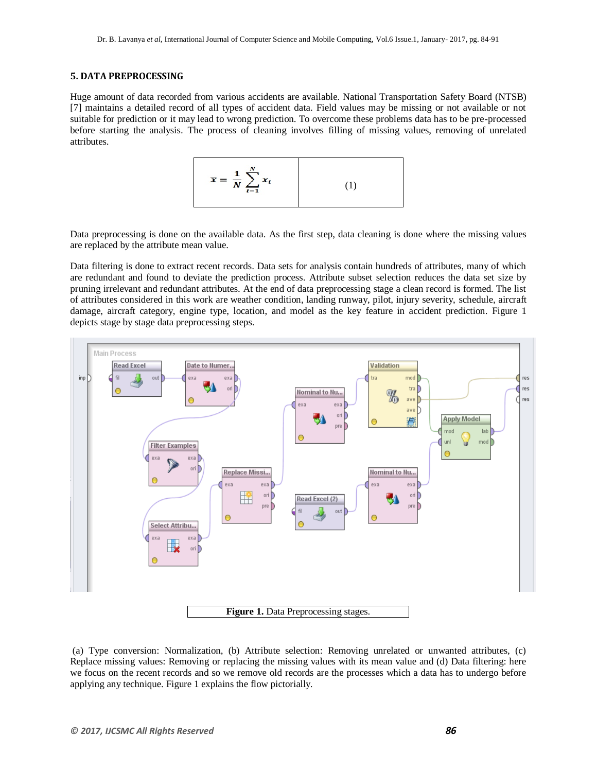## **5. DATA PREPROCESSING**

Huge amount of data recorded from various accidents are available. National Transportation Safety Board (NTSB) [7] maintains a detailed record of all types of accident data. Field values may be missing or not available or not suitable for prediction or it may lead to wrong prediction. To overcome these problems data has to be pre-processed before starting the analysis. The process of cleaning involves filling of missing values, removing of unrelated attributes.



Data preprocessing is done on the available data. As the first step, data cleaning is done where the missing values are replaced by the attribute mean value.

Data filtering is done to extract recent records. Data sets for analysis contain hundreds of attributes, many of which are redundant and found to deviate the prediction process. Attribute subset selection reduces the data set size by pruning irrelevant and redundant attributes. At the end of data preprocessing stage a clean record is formed. The list of attributes considered in this work are weather condition, landing runway, pilot, injury severity, schedule, aircraft damage, aircraft category, engine type, location, and model as the key feature in accident prediction. Figure 1 depicts stage by stage data preprocessing steps.



(a) Type conversion: Normalization, (b) Attribute selection: Removing unrelated or unwanted attributes, (c) Replace missing values: Removing or replacing the missing values with its mean value and (d) Data filtering: here we focus on the recent records and so we remove old records are the processes which a data has to undergo before applying any technique. Figure 1 explains the flow pictorially.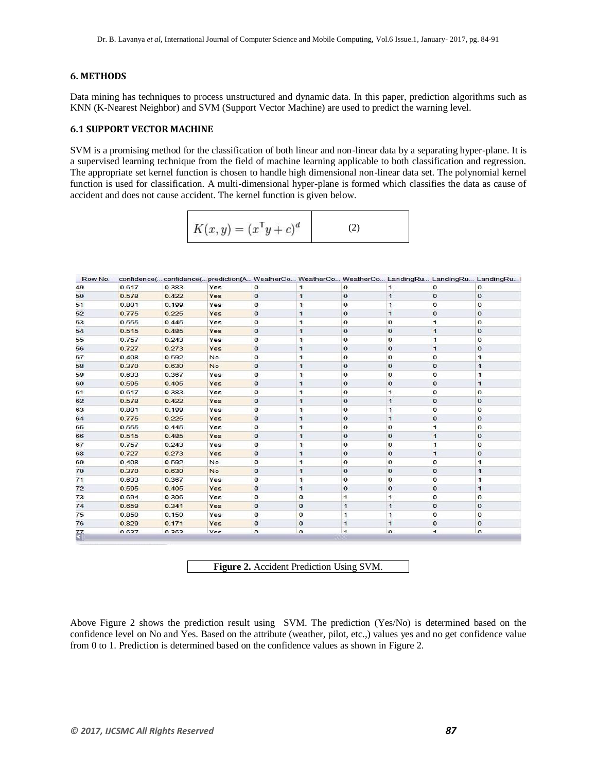#### **6. METHODS**

Data mining has techniques to process unstructured and dynamic data. In this paper, prediction algorithms such as KNN (K-Nearest Neighbor) and SVM (Support Vector Machine) are used to predict the warning level.

# **6.1 SUPPORT VECTOR MACHINE**

SVM is a promising method for the classification of both linear and non-linear data by a separating hyper-plane. It is a supervised learning technique from the field of machine learning applicable to both classification and regression. The appropriate set kernel function is chosen to handle high dimensional non-linear data set. The polynomial kernel function is used for classification. A multi-dimensional hyper-plane is formed which classifies the data as cause of accident and does not cause accident. The kernel function is given below.

| $K(x, y) = (x^{\mathsf{T}}y + c)^d$ |  |
|-------------------------------------|--|
|-------------------------------------|--|

| Row No.       |       |       | confidence( confidence( prediction(A WeatherCo WeatherCo WeatherCo LandingRu LandingRu LandingRu I |              |              |                      |                      |                |              |
|---------------|-------|-------|----------------------------------------------------------------------------------------------------|--------------|--------------|----------------------|----------------------|----------------|--------------|
| 49            | 0.617 | 0.383 | Yes                                                                                                | $\mathbf{o}$ | $\mathbf{1}$ | $\Omega$             | $\ddagger$           | $\circ$        | $\mathbf 0$  |
| 50            | 0.578 | 0.422 | Yes                                                                                                | $\mathbf{0}$ | $\mathbf{1}$ | $\mathbf{0}$         | $\mathbf{1}$         | $\mathbf{o}$   | $\bf{0}$     |
| 51            | 0.801 | 0.199 | Yes                                                                                                | $\mathbf{0}$ | 1            | $\mathbf{O}$         | 1                    | $\circ$        | $\circ$      |
| 52            | 0.775 | 0.225 | Yes                                                                                                | $\mathbf{O}$ | $\mathbf{1}$ | $\mathbf{o}$         | $\mathbf{1}$         | $\mathbf{0}$   | $\mathbf{0}$ |
| 53            | 0.555 | 0.445 | Yes                                                                                                | $^{\circ}$   | 1            | $\mathbf{O}$         | $\mathbf{O}$         | $\mathbf{1}$   | $\circ$      |
| 54            | 0.515 | 0.485 | Yes                                                                                                | $\mathbf{O}$ | $\mathbf{1}$ | $\mathbf{0}$         | $\mathbf{0}$         | $\mathbf{1}$   | $\mathbf 0$  |
| 55            | 0.757 | 0.243 | Yes                                                                                                | 0            | 1            | $\mathbf 0$          | $\mathbf{O}$         | $\mathbf{1}$   | $\circ$      |
| 56            | 0.727 | 0.273 | Yes                                                                                                | $\circ$      | $\mathbf{1}$ | $\mathbf{0}$         | $\mathbf{0}$         | $\mathbf{1}$   | $\mathbf 0$  |
| 57            | 0.408 | 0.592 | <b>No</b>                                                                                          | 0            | $\mathbf{1}$ | $\mathbf{O}$         | $\mathbf{0}$         | $\mathbf 0$    | $\mathbf{1}$ |
| 58            | 0.370 | 0.630 | <b>No</b>                                                                                          | $\circ$      | $\mathbf{1}$ | $\mathbf{0}$         | $\bf{0}$             | $\mathbf{0}$   | $\mathbf{1}$ |
| 59            | 0.633 | 0.367 | Yes                                                                                                | $^{\circ}$   | 1            | $\mathbf 0$          | $\mathbf{o}$         | $\mathbf 0$    | $\mathbf{1}$ |
| 60            | 0.595 | 0.405 | Yes                                                                                                | $\mathbf 0$  | 1            | $\mathbf{0}$         | $\mathbf{0}$         | $\mathbf{0}$   | $\mathbf{1}$ |
| 61            | 0.617 | 0.383 | Yes                                                                                                | $\mathbf 0$  | 1            | $\mathbf{O}$         | 1                    | $\bf{0}$       | $\circ$      |
| 62            | 0.578 | 0.422 | Yes                                                                                                | $\mathbf{O}$ | $\mathbf{1}$ | $\mathbf{o}$         | $\mathbf{1}$         | $\mathbf{0}$   | $\mathbf{0}$ |
| 63            | 0.801 | 0.199 | Yes                                                                                                | $\mathbf{0}$ | 1            | $\Omega$             | 1                    | $\circ$        | $\circ$      |
| 64            | 0.775 | 0.225 | Yes                                                                                                | $\mathbf{0}$ | $\mathbf{1}$ | $\mathbf{O}$         | $\mathbf{1}$         | $\mathbf{0}$   | $\mathbf{0}$ |
| 65            | 0.555 | 0.445 | Yes                                                                                                | $\mathbf{O}$ | $\mathbf{1}$ | $\mathbf 0$          | $\mathbf{0}$         | $\mathbf{1}$   | $\mathbf 0$  |
| 66            | 0.515 | 0.485 | Yes                                                                                                | $\mathbf{O}$ | $\mathbf{1}$ | $\Omega$             | $\Omega$             | $\mathbf{1}$   | $\circ$      |
| 67            | 0.757 | 0.243 | Yes                                                                                                | $\mathbf 0$  | 1            | $\mathbf 0$          | $\circ$              | $\mathbf{1}$   | $\circ$      |
| 68            | 0.727 | 0.273 | Yes                                                                                                | $\mathbf{0}$ | $\mathbf{1}$ | $\mathbf{0}$         | $\mathbf{0}$         | $\mathbf{1}$   | $\mathbf{0}$ |
| 69            | 0.408 | 0.592 | <b>No</b>                                                                                          | $\mathbf 0$  | 1            | $\mathbf 0$          | $\mathbf{0}$         | $\bf{0}$       | $\mathbf{1}$ |
| 70            | 0.370 | 0.630 | <b>No</b>                                                                                          | $\mathbf{O}$ | $\mathbf{1}$ | $\mathbf{0}$         | $\mathbf{O}$         | $\mathbf{0}$   | $\mathbf{1}$ |
| 71            | 0.633 | 0.367 | Yes                                                                                                | $\mathbf{O}$ | 1            | $\mathbf 0$          | $\mathbf{0}$         | $\circ$        | $\mathbf{1}$ |
| 72            | 0.595 | 0.405 | Yes                                                                                                | $\mathbf{O}$ | $\mathbf{1}$ | $\mathbf{0}$         | $\mathbf{o}$         | $\mathbf{0}$   | $\mathbf{1}$ |
| 73            | 0.694 | 0.306 | Yes                                                                                                | 0            | $\mathbf 0$  | 1                    | $\ddot{\phantom{1}}$ | $\circ$        | $\circ$      |
| 74            | 0.659 | 0.341 | Yes                                                                                                | $\mathbf 0$  | $\mathbf 0$  | $\mathbf{1}$         | 1                    | $\mathbf{0}$   | $\mathbf{0}$ |
| 75            | 0.850 | 0.150 | Yes                                                                                                | $\mathbf{O}$ | $\mathbf{o}$ | 1                    | $\mathbf{1}$         | $\mathbf{o}$   | $\circ$      |
| 76            | 0.829 | 0.171 | Yes                                                                                                | $\mathbf 0$  | $\mathbf{0}$ | $\mathbf{1}$         | 1                    | $\mathbf 0$    | $\mathbf{0}$ |
| $\frac{1}{2}$ | 0.637 | 0.363 | Vac                                                                                                | $\Omega$     | $\Omega$     | $\blacktriangleleft$ | $\Omega$             | $\overline{1}$ | $\Omega$     |

**Figure 2.** Accident Prediction Using SVM.

Above Figure 2 shows the prediction result using SVM. The prediction (Yes/No) is determined based on the confidence level on No and Yes. Based on the attribute (weather, pilot, etc.,) values yes and no get confidence value from 0 to 1. Prediction is determined based on the confidence values as shown in Figure 2.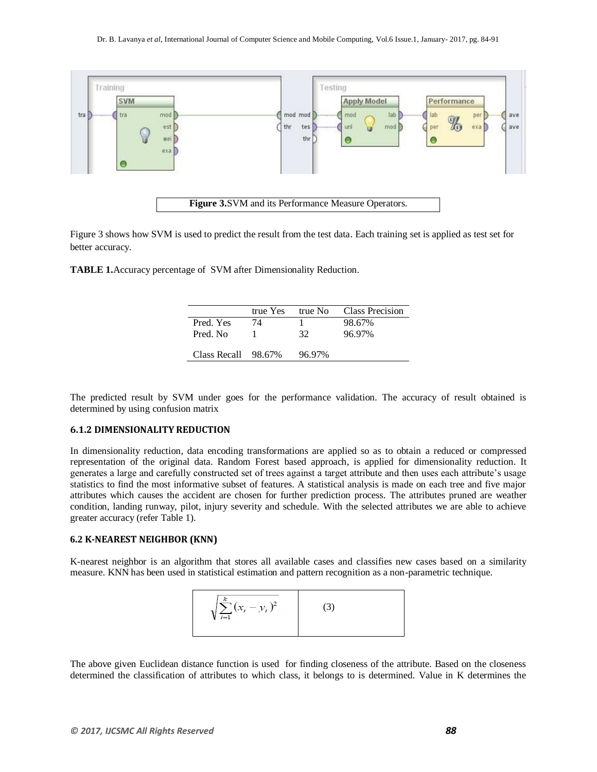

Figure 3 shows how SVM is used to predict the result from the test data. Each training set is applied as test set for better accuracy.

**TABLE 1.**Accuracy percentage of SVM after Dimensionality Reduction.

|                     | true Yes | true No | Class Precision |
|---------------------|----------|---------|-----------------|
| Pred. Yes           | 74       |         | 98.67%          |
| Pred. No.           |          | 32      | 96.97%          |
|                     |          |         |                 |
| Class Recall 98.67% |          | 96.97%  |                 |

The predicted result by SVM under goes for the performance validation. The accuracy of result obtained is determined by using confusion matrix

# **6.1.2 DIMENSIONALITY REDUCTION**

In dimensionality reduction, data encoding transformations are applied so as to obtain a reduced or compressed representation of the original data. Random Forest based approach, is applied for dimensionality reduction. It generates a large and carefully constructed set of trees against a target attribute and then uses each attribute's usage statistics to find the most informative subset of features. A statistical analysis is made on each tree and five major attributes which causes the accident are chosen for further prediction process. The attributes pruned are weather condition, landing runway, pilot, injury severity and schedule. With the selected attributes we are able to achieve greater accuracy (refer Table 1).

### **6.2 K-NEAREST NEIGHBOR (KNN)**

K-nearest neighbor is an algorithm that stores all available cases and classifies new cases based on a similarity measure. KNN has been used in statistical estimation and pattern recognition as a non-parametric technique.



The above given Euclidean distance function is used for finding closeness of the attribute. Based on the closeness determined the classification of attributes to which class, it belongs to is determined. Value in K determines the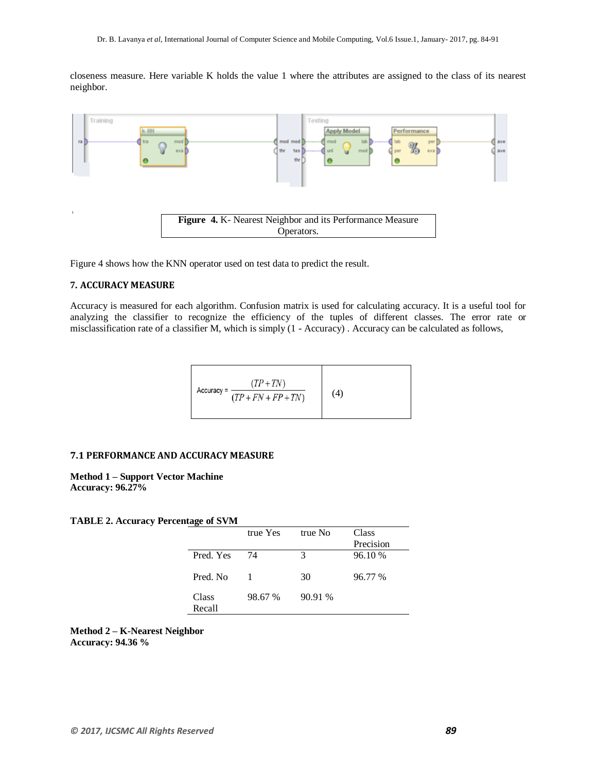closeness measure. Here variable K holds the value 1 where the attributes are assigned to the class of its nearest neighbor.



Figure 4 shows how the KNN operator used on test data to predict the result.

# **7. ACCURACY MEASURE**

Accuracy is measured for each algorithm. Confusion matrix is used for calculating accuracy. It is a useful tool for analyzing the classifier to recognize the efficiency of the tuples of different classes. The error rate or misclassification rate of a classifier M, which is simply (1 - Accuracy) . Accuracy can be calculated as follows,

$$
\text{Accuracy} = \frac{(TP + TN)}{(TP + FN + FP + TN)} \tag{4}
$$

# **7.1 PERFORMANCE AND ACCURACY MEASURE**

**Method 1 – Support Vector Machine Accuracy: 96.27%**

# **TABLE 2. Accuracy Percentage of SVM**

|                 | true Yes | true No | Class<br>Precision |
|-----------------|----------|---------|--------------------|
| Pred. Yes       | 74       | 3       | 96.10 %            |
| Pred. No.       |          | 30      | 96.77 %            |
| Class<br>Recall | 98.67 %  | 90.91 % |                    |

**Method 2 – K-Nearest Neighbor Accuracy: 94.36 %**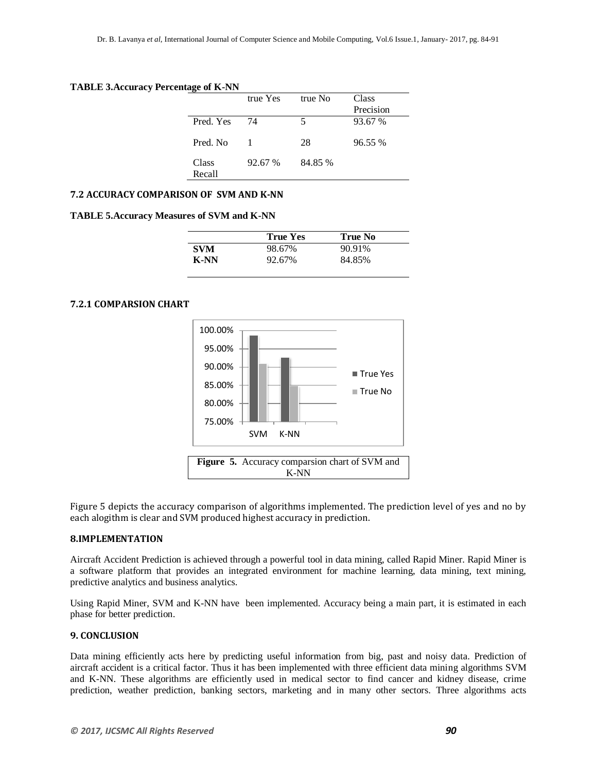#### **TABLE 3.Accuracy Percentage of K-NN**

|                 | true Yes | true No | Class     |
|-----------------|----------|---------|-----------|
|                 |          |         | Precision |
| Pred. Yes       | 74       | 5       | 93.67 %   |
| Pred. No.       |          | 28      | 96.55%    |
| Class<br>Recall | 92.67 %  | 84.85 % |           |

# **7.2 ACCURACY COMPARISON OF SVM AND K-NN**

#### **TABLE 5.Accuracy Measures of SVM and K-NN**

|            | <b>True Yes</b> | True No |  |
|------------|-----------------|---------|--|
| <b>SVM</b> | 98.67%          | 90.91%  |  |
| K-NN       | 92.67%          | 84.85%  |  |

# **7.2.1 COMPARSION CHART**



Figure 5 depicts the accuracy comparison of algorithms implemented. The prediction level of yes and no by each alogithm is clear and SVM produced highest accuracy in prediction.

## **8.IMPLEMENTATION**

Aircraft Accident Prediction is achieved through a powerful tool in data mining, called Rapid Miner. Rapid Miner is a software platform that provides an integrated environment for machine learning, data mining, text mining, predictive analytics and business analytics.

Using Rapid Miner, SVM and K-NN have been implemented. Accuracy being a main part, it is estimated in each phase for better prediction.

## **9. CONCLUSION**

Data mining efficiently acts here by predicting useful information from big, past and noisy data. Prediction of aircraft accident is a critical factor. Thus it has been implemented with three efficient data mining algorithms SVM and K-NN. These algorithms are efficiently used in medical sector to find cancer and kidney disease, crime prediction, weather prediction, banking sectors, marketing and in many other sectors. Three algorithms acts